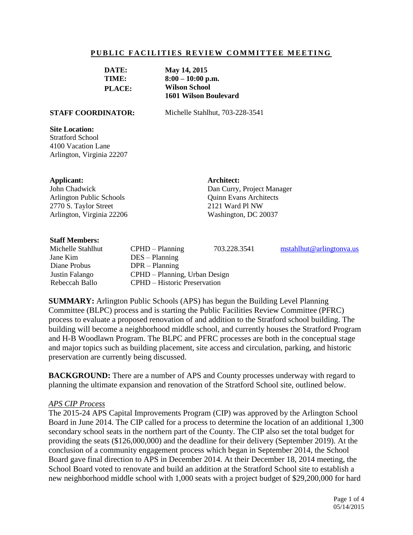#### **PUBLIC FACILITIES REVIEW COMMITTEE MEETING**

| DATE:         | May 14, 2015                 |
|---------------|------------------------------|
| TIME:         | $8:00 - 10:00$ p.m.          |
| <b>PLACE:</b> | <b>Wilson School</b>         |
|               | <b>1601 Wilson Boulevard</b> |

**STAFF COORDINATOR:** Michelle Stahlhut, 703-228-3541

#### **Site Location:**

Stratford School 4100 Vacation Lane Arlington, Virginia 22207

#### **Applicant:**

John Chadwick Arlington Public Schools 2770 S. Taylor Street Arlington, Virginia 22206 **Architect:** Dan Curry, Project Manager Quinn Evans Architects 2121 Ward Pl NW Washington, DC 20037

#### **Staff Members:**

Jane Kim DES – Planning Diane Probus DPR – Planning

Michelle Stahlhut CPHD – Planning 703.228.3541 [mstahlhut@arlingtonva.us](mailto:mstahlhut@arlingtonva.us) Justin Falango CPHD – Planning, Urban Design Rebeccah Ballo CPHD – Historic Preservation

**SUMMARY:** Arlington Public Schools (APS) has begun the Building Level Planning Committee (BLPC) process and is starting the Public Facilities Review Committee (PFRC) process to evaluate a proposed renovation of and addition to the Stratford school building. The building will become a neighborhood middle school, and currently houses the Stratford Program and H-B Woodlawn Program. The BLPC and PFRC processes are both in the conceptual stage and major topics such as building placement, site access and circulation, parking, and historic preservation are currently being discussed.

**BACKGROUND:** There are a number of APS and County processes underway with regard to planning the ultimate expansion and renovation of the Stratford School site, outlined below.

#### *APS CIP Process*

The 2015-24 APS Capital Improvements Program (CIP) was approved by the Arlington School Board in June 2014. The CIP called for a process to determine the location of an additional 1,300 secondary school seats in the northern part of the County. The CIP also set the total budget for providing the seats (\$126,000,000) and the deadline for their delivery (September 2019). At the conclusion of a community engagement process which began in September 2014, the School Board gave final direction to APS in December 2014. At their December 18, 2014 meeting, the School Board voted to renovate and build an addition at the Stratford School site to establish a new neighborhood middle school with 1,000 seats with a project budget of \$29,200,000 for hard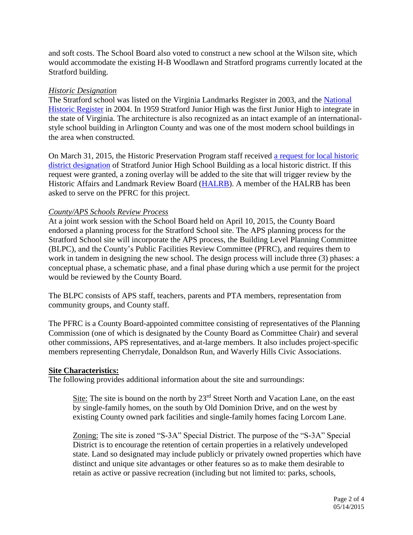and soft costs. The School Board also voted to construct a new school at the Wilson site, which would accommodate the existing H-B Woodlawn and Stratford programs currently located at the Stratford building.

# *Historic Designation*

The Stratford school was listed on the Virginia Landmarks Register in 2003, and the National [Historic Register](http://arlingtonva.s3.amazonaws.com/wp-content/uploads/sites/5/2013/11/Stratford-Junior-High-School-National-Register-PDF.pdf) in 2004. In 1959 Stratford Junior High was the first Junior High to integrate in the state of Virginia. The architecture is also recognized as an intact example of an internationalstyle school building in Arlington County and was one of the most modern school buildings in the area when constructed.

On March 31, 2015, the Historic Preservation Program staff received [a request for local historic](http://arlingtonva.s3.amazonaws.com/wp-content/uploads/sites/5/2013/11/Stratford-Designation-Study-Request-3-15.pdf)  [district designation](http://arlingtonva.s3.amazonaws.com/wp-content/uploads/sites/5/2013/11/Stratford-Designation-Study-Request-3-15.pdf) of Stratford Junior High School Building as a local historic district. If this request were granted, a zoning overlay will be added to the site that will trigger review by the Historic Affairs and Landmark Review Board [\(HALRB\)](http://commissions.arlingtonva.us/historical-affairs-landmark-review-board/). A member of the HALRB has been asked to serve on the PFRC for this project.

# *County/APS Schools Review Process*

At a joint work session with the School Board held on April 10, 2015, the County Board endorsed a planning process for the Stratford School site. The APS planning process for the Stratford School site will incorporate the APS process, the Building Level Planning Committee (BLPC), and the County's Public Facilities Review Committee (PFRC), and requires them to work in tandem in designing the new school. The design process will include three (3) phases: a conceptual phase, a schematic phase, and a final phase during which a use permit for the project would be reviewed by the County Board.

The BLPC consists of APS staff, teachers, parents and PTA members, representation from community groups, and County staff.

The PFRC is a County Board-appointed committee consisting of representatives of the Planning Commission (one of which is designated by the County Board as Committee Chair) and several other commissions, APS representatives, and at-large members. It also includes project-specific members representing Cherrydale, Donaldson Run, and Waverly Hills Civic Associations.

### **Site Characteristics:**

The following provides additional information about the site and surroundings:

Site: The site is bound on the north by  $23<sup>rd</sup>$  Street North and Vacation Lane, on the east by single-family homes, on the south by Old Dominion Drive, and on the west by existing County owned park facilities and single-family homes facing Lorcom Lane.

Zoning: The site is zoned "S-3A" Special District. The purpose of the "S-3A" Special District is to encourage the retention of certain properties in a relatively undeveloped state. Land so designated may include publicly or privately owned properties which have distinct and unique site advantages or other features so as to make them desirable to retain as active or passive recreation (including but not limited to: parks, schools,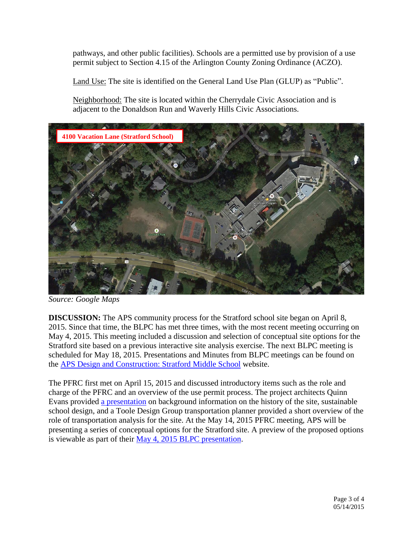pathways, and other public facilities). Schools are a permitted use by provision of a use permit subject to Section 4.15 of the Arlington County Zoning Ordinance (ACZO).

Land Use: The site is identified on the General Land Use Plan (GLUP) as "Public".

Neighborhood: The site is located within the Cherrydale Civic Association and is adjacent to the Donaldson Run and Waverly Hills Civic Associations.



*Source: Google Maps*

**DISCUSSION:** The APS community process for the Stratford school site began on April 8, 2015. Since that time, the BLPC has met three times, with the most recent meeting occurring on May 4, 2015. This meeting included a discussion and selection of conceptual site options for the Stratford site based on a previous interactive site analysis exercise. The next BLPC meeting is scheduled for May 18, 2015. Presentations and Minutes from BLPC meetings can be found on the [APS Design and Construction: Stratford Middle School](http://www.apsva.us/Page/29586) website.

The PFRC first met on April 15, 2015 and discussed introductory items such as the role and charge of the PFRC and an overview of the use permit process. The project architects Quinn Evans provided [a presentation](http://www.apsva.us/cms/lib2/VA01000586/Centricity/Domain/105/041515%20PFRC%2001-Stratford%20QEA_presentation.pdf) on background information on the history of the site, sustainable school design, and a Toole Design Group transportation planner provided a short overview of the role of transportation analysis for the site. At the May 14, 2015 PFRC meeting, APS will be presenting a series of conceptual options for the Stratford site. A preview of the proposed options is viewable as part of their [May 4, 2015 BLPC presentation.](http://www.apsva.us/cms/lib2/VA01000586/Centricity/Domain/105/050415%20BLPC%2003-Stratford%20presentation.pdf)